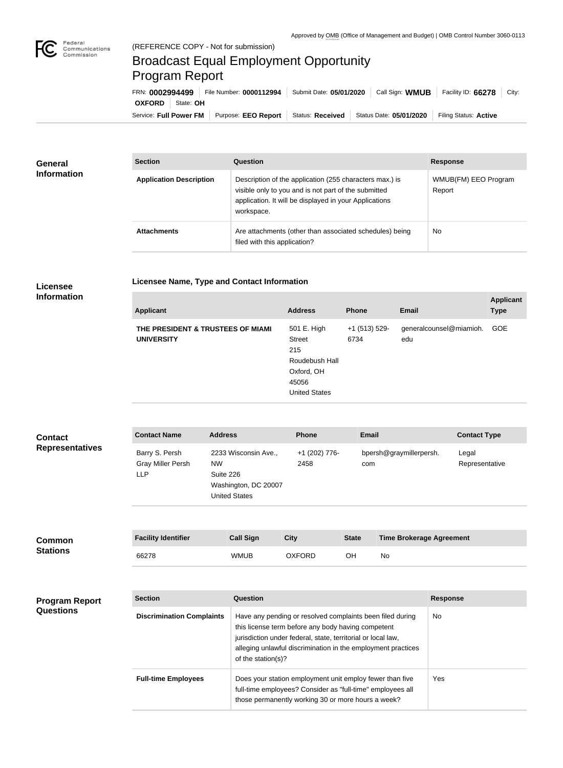

## Broadcast Equal Employment Opportunity Program Report

**Licensee Name, Type and Contact Information**

| FRN: 0002994499         | File Number: 0000112994   Submit Date: 05/01/2020 | Call Sign: WMUB         | Facility ID: 66278<br>City: |
|-------------------------|---------------------------------------------------|-------------------------|-----------------------------|
| <b>OXFORD</b> State: OH |                                                   |                         |                             |
| Service: Full Power FM  | Purpose: EEO Report   Status: Received            | Status Date: 05/01/2020 | Filing Status: Active       |

| <b>General</b><br><b>Information</b> | <b>Section</b>                 | Question                                                                                                                                                                                | <b>Response</b>                |
|--------------------------------------|--------------------------------|-----------------------------------------------------------------------------------------------------------------------------------------------------------------------------------------|--------------------------------|
|                                      | <b>Application Description</b> | Description of the application (255 characters max.) is<br>visible only to you and is not part of the submitted<br>application. It will be displayed in your Applications<br>workspace. | WMUB(FM) EEO Program<br>Report |
|                                      | <b>Attachments</b>             | Are attachments (other than associated schedules) being<br>filed with this application?                                                                                                 | No                             |

## **Licensee Information**

| <b>Applicant</b>                                       | <b>Address</b>                                                                                       | <b>Phone</b>          | <b>Email</b>                   | <b>Applicant</b><br><b>Type</b> |
|--------------------------------------------------------|------------------------------------------------------------------------------------------------------|-----------------------|--------------------------------|---------------------------------|
| THE PRESIDENT & TRUSTEES OF MIAMI<br><b>UNIVERSITY</b> | 501 E. High<br><b>Street</b><br>215<br>Roudebush Hall<br>Oxford, OH<br>45056<br><b>United States</b> | +1 (513) 529-<br>6734 | generalcounsel@miamioh.<br>edu | <b>GOE</b>                      |

| <b>Contact</b>         | <b>Contact Name</b>                               | <b>Address</b>                                                                                 | <b>Phone</b>          | <b>Email</b>                   | <b>Contact Type</b>     |
|------------------------|---------------------------------------------------|------------------------------------------------------------------------------------------------|-----------------------|--------------------------------|-------------------------|
| <b>Representatives</b> | Barry S. Persh<br><b>Gray Miller Persh</b><br>LLP | 2233 Wisconsin Ave.,<br><b>NW</b><br>Suite 226<br>Washington, DC 20007<br><b>United States</b> | +1 (202) 776-<br>2458 | bpersh@graymillerpersh.<br>com | Legal<br>Representative |

| <b>Common</b><br><b>Stations</b> | <b>Facility Identifier</b> | <b>Call Sign</b> | City          | <b>State</b> | <b>Time Brokerage Agreement</b> |
|----------------------------------|----------------------------|------------------|---------------|--------------|---------------------------------|
|                                  | 66278                      | <b>WMUB</b>      | <b>OXFORD</b> | OН           | No                              |

| <b>Program Report</b><br><b>Questions</b> | <b>Section</b>                   | Question                                                                                                                                                                                                                                                              | <b>Response</b> |
|-------------------------------------------|----------------------------------|-----------------------------------------------------------------------------------------------------------------------------------------------------------------------------------------------------------------------------------------------------------------------|-----------------|
|                                           | <b>Discrimination Complaints</b> | Have any pending or resolved complaints been filed during<br>this license term before any body having competent<br>jurisdiction under federal, state, territorial or local law,<br>alleging unlawful discrimination in the employment practices<br>of the station(s)? | No.             |
|                                           | <b>Full-time Employees</b>       | Does your station employment unit employ fewer than five<br>full-time employees? Consider as "full-time" employees all<br>those permanently working 30 or more hours a week?                                                                                          | <b>Yes</b>      |